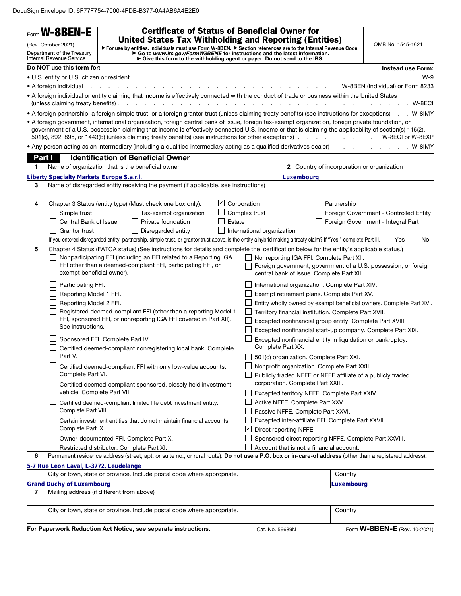DocuSign Envelope ID: 6F77F754-7000-4FDB-B377-0A4AB6A4E2E0

|                                                                                                                                                                                                         | <b>W-8BEN-E</b>                                                                                                                                                | <b>Certificate of Status of Beneficial Owner for</b>                                                                                                                                                                                                                                                                                                                                                                   |                                                    |                                                                                                                                                           |                                                                                                                            |                                                        |                                        |
|---------------------------------------------------------------------------------------------------------------------------------------------------------------------------------------------------------|----------------------------------------------------------------------------------------------------------------------------------------------------------------|------------------------------------------------------------------------------------------------------------------------------------------------------------------------------------------------------------------------------------------------------------------------------------------------------------------------------------------------------------------------------------------------------------------------|----------------------------------------------------|-----------------------------------------------------------------------------------------------------------------------------------------------------------|----------------------------------------------------------------------------------------------------------------------------|--------------------------------------------------------|----------------------------------------|
| <b>United States Tax Withholding and Reporting (Entities)</b><br>(Rev. October 2021)<br>▶ For use by entities. Individuals must use Form W-8BEN. ▶ Section references are to the Internal Revenue Code. |                                                                                                                                                                |                                                                                                                                                                                                                                                                                                                                                                                                                        |                                                    |                                                                                                                                                           |                                                                                                                            |                                                        | OMB No. 1545-1621                      |
|                                                                                                                                                                                                         | Department of the Treasury<br><b>Internal Revenue Service</b>                                                                                                  | ► Go to www.irs.gov/FormW8BENE for instructions and the latest information.<br>► Give this form to the withholding agent or payer. Do not send to the IRS.                                                                                                                                                                                                                                                             |                                                    |                                                                                                                                                           |                                                                                                                            |                                                        |                                        |
|                                                                                                                                                                                                         | Do NOT use this form for:                                                                                                                                      |                                                                                                                                                                                                                                                                                                                                                                                                                        |                                                    |                                                                                                                                                           |                                                                                                                            |                                                        | Instead use Form:                      |
|                                                                                                                                                                                                         | • U.S. entity or U.S. citizen or resident                                                                                                                      |                                                                                                                                                                                                                                                                                                                                                                                                                        |                                                    |                                                                                                                                                           |                                                                                                                            |                                                        | $W-9$                                  |
|                                                                                                                                                                                                         | • A foreign individual                                                                                                                                         |                                                                                                                                                                                                                                                                                                                                                                                                                        |                                                    |                                                                                                                                                           |                                                                                                                            | $\sim$                                                 | W-8BEN (Individual) or Form 8233       |
|                                                                                                                                                                                                         | (unless claiming treaty benefits).                                                                                                                             | . A foreign individual or entity claiming that income is effectively connected with the conduct of trade or business within the United States<br>.                                                                                                                                                                                                                                                                     |                                                    |                                                                                                                                                           |                                                                                                                            |                                                        | . W-8ECI                               |
|                                                                                                                                                                                                         |                                                                                                                                                                | • A foreign partnership, a foreign simple trust, or a foreign grantor trust (unless claiming treaty benefits) (see instructions for exceptions) . W-8IMY                                                                                                                                                                                                                                                               |                                                    |                                                                                                                                                           |                                                                                                                            |                                                        |                                        |
|                                                                                                                                                                                                         |                                                                                                                                                                | • A foreign government, international organization, foreign central bank of issue, foreign tax-exempt organization, foreign private foundation, or<br>government of a U.S. possession claiming that income is effectively connected U.S. income or that is claiming the applicability of section(s) 115(2),<br>501(c), 892, 895, or 1443(b) (unless claiming treaty benefits) (see instructions for other exceptions). |                                                    |                                                                                                                                                           |                                                                                                                            | the contract of the contract of the                    | W-8ECI or W-8EXP                       |
|                                                                                                                                                                                                         |                                                                                                                                                                | • Any person acting as an intermediary (including a qualified intermediary acting as a qualified derivatives dealer)                                                                                                                                                                                                                                                                                                   |                                                    |                                                                                                                                                           |                                                                                                                            |                                                        | . W-8IMY                               |
|                                                                                                                                                                                                         | Part I                                                                                                                                                         | <b>Identification of Beneficial Owner</b>                                                                                                                                                                                                                                                                                                                                                                              |                                                    |                                                                                                                                                           |                                                                                                                            |                                                        |                                        |
| 1.                                                                                                                                                                                                      |                                                                                                                                                                | Name of organization that is the beneficial owner                                                                                                                                                                                                                                                                                                                                                                      |                                                    |                                                                                                                                                           |                                                                                                                            | <b>2</b> Country of incorporation or organization      |                                        |
|                                                                                                                                                                                                         | Liberty Specialty Markets Europe S.a.r.l.                                                                                                                      |                                                                                                                                                                                                                                                                                                                                                                                                                        |                                                    |                                                                                                                                                           | Luxembourg                                                                                                                 |                                                        |                                        |
| 3                                                                                                                                                                                                       |                                                                                                                                                                | Name of disregarded entity receiving the payment (if applicable, see instructions)                                                                                                                                                                                                                                                                                                                                     |                                                    |                                                                                                                                                           |                                                                                                                            |                                                        |                                        |
| 4                                                                                                                                                                                                       |                                                                                                                                                                | Chapter 3 Status (entity type) (Must check one box only):                                                                                                                                                                                                                                                                                                                                                              | $\cup$ Corporation                                 |                                                                                                                                                           |                                                                                                                            | Partnership                                            |                                        |
|                                                                                                                                                                                                         | Simple trust                                                                                                                                                   | Tax-exempt organization                                                                                                                                                                                                                                                                                                                                                                                                |                                                    | Complex trust                                                                                                                                             |                                                                                                                            |                                                        | Foreign Government - Controlled Entity |
|                                                                                                                                                                                                         | Central Bank of Issue                                                                                                                                          | Private foundation                                                                                                                                                                                                                                                                                                                                                                                                     | Estate                                             |                                                                                                                                                           |                                                                                                                            |                                                        | Foreign Government - Integral Part     |
|                                                                                                                                                                                                         | Grantor trust                                                                                                                                                  | Disregarded entity                                                                                                                                                                                                                                                                                                                                                                                                     |                                                    | International organization                                                                                                                                |                                                                                                                            |                                                        |                                        |
|                                                                                                                                                                                                         |                                                                                                                                                                | If you entered disregarded entity, partnership, simple trust, or grantor trust above, is the entity a hybrid making a treaty claim? If "Yes," complete Part III.                                                                                                                                                                                                                                                       |                                                    |                                                                                                                                                           |                                                                                                                            |                                                        | l Yes<br>No.                           |
| 5                                                                                                                                                                                                       |                                                                                                                                                                | Chapter 4 Status (FATCA status) (See instructions for details and complete the certification below for the entity's applicable status.)                                                                                                                                                                                                                                                                                |                                                    |                                                                                                                                                           |                                                                                                                            |                                                        |                                        |
|                                                                                                                                                                                                         | Nonparticipating FFI (including an FFI related to a Reporting IGA<br>FFI other than a deemed-compliant FFI, participating FFI, or<br>exempt beneficial owner). |                                                                                                                                                                                                                                                                                                                                                                                                                        |                                                    | Nonreporting IGA FFI. Complete Part XII.<br>Foreign government, government of a U.S. possession, or foreign<br>central bank of issue. Complete Part XIII. |                                                                                                                            |                                                        |                                        |
|                                                                                                                                                                                                         | Participating FFI.                                                                                                                                             |                                                                                                                                                                                                                                                                                                                                                                                                                        |                                                    | International organization. Complete Part XIV.                                                                                                            |                                                                                                                            |                                                        |                                        |
|                                                                                                                                                                                                         | Reporting Model 1 FFI.                                                                                                                                         |                                                                                                                                                                                                                                                                                                                                                                                                                        |                                                    | Exempt retirement plans. Complete Part XV.                                                                                                                |                                                                                                                            |                                                        |                                        |
|                                                                                                                                                                                                         | Reporting Model 2 FFI.                                                                                                                                         |                                                                                                                                                                                                                                                                                                                                                                                                                        |                                                    | Entity wholly owned by exempt beneficial owners. Complete Part XVI.                                                                                       |                                                                                                                            |                                                        |                                        |
|                                                                                                                                                                                                         |                                                                                                                                                                | Registered deemed-compliant FFI (other than a reporting Model 1                                                                                                                                                                                                                                                                                                                                                        |                                                    |                                                                                                                                                           | Territory financial institution. Complete Part XVII.                                                                       |                                                        |                                        |
|                                                                                                                                                                                                         | See instructions.                                                                                                                                              | FFI, sponsored FFI, or nonreporting IGA FFI covered in Part XII).                                                                                                                                                                                                                                                                                                                                                      |                                                    | Excepted nonfinancial group entity. Complete Part XVIII.<br>Excepted nonfinancial start-up company. Complete Part XIX.                                    |                                                                                                                            |                                                        |                                        |
|                                                                                                                                                                                                         |                                                                                                                                                                |                                                                                                                                                                                                                                                                                                                                                                                                                        |                                                    |                                                                                                                                                           |                                                                                                                            |                                                        |                                        |
|                                                                                                                                                                                                         |                                                                                                                                                                | Sponsored FFI. Complete Part IV.<br>Certified deemed-compliant nonregistering local bank. Complete<br>Part V.<br>Certified deemed-compliant FFI with only low-value accounts.                                                                                                                                                                                                                                          |                                                    |                                                                                                                                                           | Excepted nonfinancial entity in liquidation or bankruptcy.<br>Complete Part XX.<br>501(c) organization. Complete Part XXI. |                                                        |                                        |
|                                                                                                                                                                                                         |                                                                                                                                                                |                                                                                                                                                                                                                                                                                                                                                                                                                        |                                                    |                                                                                                                                                           |                                                                                                                            |                                                        |                                        |
|                                                                                                                                                                                                         |                                                                                                                                                                |                                                                                                                                                                                                                                                                                                                                                                                                                        |                                                    |                                                                                                                                                           | Nonprofit organization. Complete Part XXII.                                                                                |                                                        |                                        |
|                                                                                                                                                                                                         | Complete Part VI.<br>Certified deemed-compliant sponsored, closely held investment                                                                             |                                                                                                                                                                                                                                                                                                                                                                                                                        |                                                    | Publicly traded NFFE or NFFE affiliate of a publicly traded<br>corporation. Complete Part XXIII.                                                          |                                                                                                                            |                                                        |                                        |
|                                                                                                                                                                                                         | vehicle. Complete Part VII.                                                                                                                                    |                                                                                                                                                                                                                                                                                                                                                                                                                        |                                                    | Excepted territory NFFE. Complete Part XXIV.<br>Active NFFE. Complete Part XXV.                                                                           |                                                                                                                            |                                                        |                                        |
|                                                                                                                                                                                                         | Certified deemed-compliant limited life debt investment entity.<br>Complete Part VIII.                                                                         |                                                                                                                                                                                                                                                                                                                                                                                                                        |                                                    |                                                                                                                                                           |                                                                                                                            |                                                        |                                        |
|                                                                                                                                                                                                         |                                                                                                                                                                |                                                                                                                                                                                                                                                                                                                                                                                                                        |                                                    | Passive NFFE. Complete Part XXVI.                                                                                                                         |                                                                                                                            |                                                        |                                        |
|                                                                                                                                                                                                         | Certain investment entities that do not maintain financial accounts.<br>Complete Part IX.                                                                      |                                                                                                                                                                                                                                                                                                                                                                                                                        | Excepted inter-affiliate FFI. Complete Part XXVII. |                                                                                                                                                           |                                                                                                                            |                                                        |                                        |
|                                                                                                                                                                                                         |                                                                                                                                                                |                                                                                                                                                                                                                                                                                                                                                                                                                        |                                                    | $\vert\bm{\mathsf{v}}\vert$<br>Direct reporting NFFE.                                                                                                     |                                                                                                                            |                                                        |                                        |
|                                                                                                                                                                                                         |                                                                                                                                                                | Owner-documented FFI. Complete Part X.                                                                                                                                                                                                                                                                                                                                                                                 |                                                    |                                                                                                                                                           |                                                                                                                            | Sponsored direct reporting NFFE. Complete Part XXVIII. |                                        |
|                                                                                                                                                                                                         | Restricted distributor. Complete Part XI.                                                                                                                      |                                                                                                                                                                                                                                                                                                                                                                                                                        |                                                    | Account that is not a financial account.                                                                                                                  |                                                                                                                            |                                                        |                                        |
| 6                                                                                                                                                                                                       |                                                                                                                                                                | Permanent residence address (street, apt. or suite no., or rural route). Do not use a P.O. box or in-care-of address (other than a registered address).                                                                                                                                                                                                                                                                |                                                    |                                                                                                                                                           |                                                                                                                            |                                                        |                                        |
|                                                                                                                                                                                                         | 5-7 Rue Leon Laval, L-3772, Leudelange                                                                                                                         |                                                                                                                                                                                                                                                                                                                                                                                                                        |                                                    |                                                                                                                                                           |                                                                                                                            |                                                        |                                        |
| City or town, state or province. Include postal code where appropriate.                                                                                                                                 |                                                                                                                                                                |                                                                                                                                                                                                                                                                                                                                                                                                                        |                                                    |                                                                                                                                                           |                                                                                                                            | Country                                                |                                        |
|                                                                                                                                                                                                         | <b>Grand Duchy of Luxembourg</b>                                                                                                                               |                                                                                                                                                                                                                                                                                                                                                                                                                        |                                                    |                                                                                                                                                           |                                                                                                                            | Luxembourg                                             |                                        |
| 7                                                                                                                                                                                                       |                                                                                                                                                                | Mailing address (if different from above)                                                                                                                                                                                                                                                                                                                                                                              |                                                    |                                                                                                                                                           |                                                                                                                            |                                                        |                                        |
|                                                                                                                                                                                                         |                                                                                                                                                                | City or town, state or province. Include postal code where appropriate.                                                                                                                                                                                                                                                                                                                                                |                                                    |                                                                                                                                                           |                                                                                                                            | Country                                                |                                        |
|                                                                                                                                                                                                         |                                                                                                                                                                | For Paperwork Reduction Act Notice, see separate instructions.                                                                                                                                                                                                                                                                                                                                                         |                                                    | Cat. No. 59689N                                                                                                                                           |                                                                                                                            |                                                        | Form <b>W-8BEN-E</b> (Rev. 10-2021)    |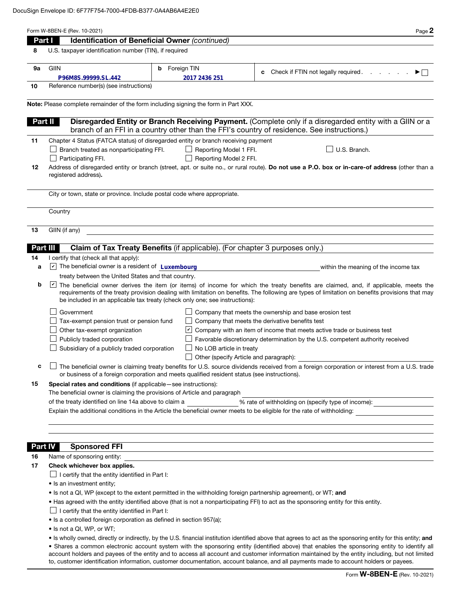|    | Identification of Beneficial Owner (continued)<br>Part I                                                                            |                                                                                                                                                                                                                                                                                                                                                                       |  |  |  |  |  |
|----|-------------------------------------------------------------------------------------------------------------------------------------|-----------------------------------------------------------------------------------------------------------------------------------------------------------------------------------------------------------------------------------------------------------------------------------------------------------------------------------------------------------------------|--|--|--|--|--|
| 8  | U.S. taxpayer identification number (TIN), if required                                                                              |                                                                                                                                                                                                                                                                                                                                                                       |  |  |  |  |  |
| 9a | <b>GIIN</b><br><b>b</b> Foreign TIN                                                                                                 |                                                                                                                                                                                                                                                                                                                                                                       |  |  |  |  |  |
|    | P96M8S.99999.SL.442<br>2017 2436 251                                                                                                | Check if FTIN not legally required.<br>▶□<br>c                                                                                                                                                                                                                                                                                                                        |  |  |  |  |  |
| 10 | Reference number(s) (see instructions)                                                                                              |                                                                                                                                                                                                                                                                                                                                                                       |  |  |  |  |  |
|    | Note: Please complete remainder of the form including signing the form in Part XXX.                                                 |                                                                                                                                                                                                                                                                                                                                                                       |  |  |  |  |  |
|    |                                                                                                                                     |                                                                                                                                                                                                                                                                                                                                                                       |  |  |  |  |  |
|    | Part II                                                                                                                             | Disregarded Entity or Branch Receiving Payment. (Complete only if a disregarded entity with a GIIN or a<br>branch of an FFI in a country other than the FFI's country of residence. See instructions.)                                                                                                                                                                |  |  |  |  |  |
| 11 | Chapter 4 Status (FATCA status) of disregarded entity or branch receiving payment                                                   |                                                                                                                                                                                                                                                                                                                                                                       |  |  |  |  |  |
|    | $\Box$ Branch treated as nonparticipating FFI.                                                                                      | Reporting Model 1 FFI.<br>U.S. Branch.                                                                                                                                                                                                                                                                                                                                |  |  |  |  |  |
|    | $\Box$ Participating FFI.                                                                                                           | Reporting Model 2 FFI.                                                                                                                                                                                                                                                                                                                                                |  |  |  |  |  |
| 12 | registered address).                                                                                                                | Address of disregarded entity or branch (street, apt. or suite no., or rural route). Do not use a P.O. box or in-care-of address (other than a                                                                                                                                                                                                                        |  |  |  |  |  |
|    | City or town, state or province. Include postal code where appropriate.                                                             |                                                                                                                                                                                                                                                                                                                                                                       |  |  |  |  |  |
|    | Country                                                                                                                             |                                                                                                                                                                                                                                                                                                                                                                       |  |  |  |  |  |
| 13 | GIIN (if any)                                                                                                                       |                                                                                                                                                                                                                                                                                                                                                                       |  |  |  |  |  |
|    |                                                                                                                                     |                                                                                                                                                                                                                                                                                                                                                                       |  |  |  |  |  |
|    | Claim of Tax Treaty Benefits (if applicable). (For chapter 3 purposes only.)<br>Part III                                            |                                                                                                                                                                                                                                                                                                                                                                       |  |  |  |  |  |
| 14 | I certify that (check all that apply):                                                                                              |                                                                                                                                                                                                                                                                                                                                                                       |  |  |  |  |  |
| a  | $\triangleright$ The beneficial owner is a resident of Luxembourg                                                                   | within the meaning of the income tax                                                                                                                                                                                                                                                                                                                                  |  |  |  |  |  |
|    | treaty between the United States and that country.                                                                                  |                                                                                                                                                                                                                                                                                                                                                                       |  |  |  |  |  |
| b  |                                                                                                                                     | The beneficial owner derives the item (or items) of income for which the treaty benefits are claimed, and, if applicable, meets the<br>requirements of the treaty provision dealing with limitation on benefits. The following are types of limitation on benefits provisions that may<br>be included in an applicable tax treaty (check only one; see instructions): |  |  |  |  |  |
|    | Government                                                                                                                          | $\Box$ Company that meets the ownership and base erosion test                                                                                                                                                                                                                                                                                                         |  |  |  |  |  |
|    | Tax-exempt pension trust or pension fund                                                                                            | Company that meets the derivative benefits test                                                                                                                                                                                                                                                                                                                       |  |  |  |  |  |
|    | Other tax-exempt organization                                                                                                       | Company with an item of income that meets active trade or business test                                                                                                                                                                                                                                                                                               |  |  |  |  |  |
|    | Publicly traded corporation                                                                                                         | Favorable discretionary determination by the U.S. competent authority received                                                                                                                                                                                                                                                                                        |  |  |  |  |  |
|    | Subsidiary of a publicly traded corporation                                                                                         | No LOB article in treaty                                                                                                                                                                                                                                                                                                                                              |  |  |  |  |  |
|    |                                                                                                                                     | Other (specify Article and paragraph):                                                                                                                                                                                                                                                                                                                                |  |  |  |  |  |
| c  | or business of a foreign corporation and meets qualified resident status (see instructions).                                        | $\perp$ The beneficial owner is claiming treaty benefits for U.S. source dividends received from a foreign corporation or interest from a U.S. trade                                                                                                                                                                                                                  |  |  |  |  |  |
| 15 |                                                                                                                                     | Special rates and conditions (if applicable - see instructions):                                                                                                                                                                                                                                                                                                      |  |  |  |  |  |
|    | The beneficial owner is claiming the provisions of Article and paragraph                                                            |                                                                                                                                                                                                                                                                                                                                                                       |  |  |  |  |  |
|    | of the treaty identified on line 14a above to claim a                                                                               | % rate of withholding on (specify type of income):                                                                                                                                                                                                                                                                                                                    |  |  |  |  |  |
|    | Explain the additional conditions in the Article the beneficial owner meets to be eligible for the rate of withholding:             |                                                                                                                                                                                                                                                                                                                                                                       |  |  |  |  |  |
|    |                                                                                                                                     |                                                                                                                                                                                                                                                                                                                                                                       |  |  |  |  |  |
|    | <b>Sponsored FFI</b><br><b>Part IV</b>                                                                                              |                                                                                                                                                                                                                                                                                                                                                                       |  |  |  |  |  |
| 16 | Name of sponsoring entity:                                                                                                          |                                                                                                                                                                                                                                                                                                                                                                       |  |  |  |  |  |
| 17 | Check whichever box applies.                                                                                                        |                                                                                                                                                                                                                                                                                                                                                                       |  |  |  |  |  |
|    | $\Box$ I certify that the entity identified in Part I:                                                                              |                                                                                                                                                                                                                                                                                                                                                                       |  |  |  |  |  |
|    | • Is an investment entity;                                                                                                          |                                                                                                                                                                                                                                                                                                                                                                       |  |  |  |  |  |
|    | • Is not a QI, WP (except to the extent permitted in the withholding foreign partnership agreement), or WT; and                     |                                                                                                                                                                                                                                                                                                                                                                       |  |  |  |  |  |
|    | • Has agreed with the entity identified above (that is not a nonparticipating FFI) to act as the sponsoring entity for this entity. |                                                                                                                                                                                                                                                                                                                                                                       |  |  |  |  |  |
|    | $\Box$ I certify that the entity identified in Part I:                                                                              |                                                                                                                                                                                                                                                                                                                                                                       |  |  |  |  |  |
|    |                                                                                                                                     | • Is a controlled foreign corporation as defined in section 957(a);                                                                                                                                                                                                                                                                                                   |  |  |  |  |  |
|    | • Is not a QI, WP, or WT;                                                                                                           |                                                                                                                                                                                                                                                                                                                                                                       |  |  |  |  |  |
|    |                                                                                                                                     | • Is wholly owned, directly or indirectly, by the U.S. financial institution identified above that agrees to act as the sponsoring entity for this entity; and                                                                                                                                                                                                        |  |  |  |  |  |
|    |                                                                                                                                     | . Shares a common electronic account system with the sponsoring entity (identified above) that enables the sponsoring entity to identify all<br>account holders and payees of the entity and to access all account and customer information maintained by the entity including, but not limited                                                                       |  |  |  |  |  |

to, customer identification information, customer documentation, account balance, and all payments made to account holders or payees.

Form **W-8BEN-E** (Rev. 10-2021)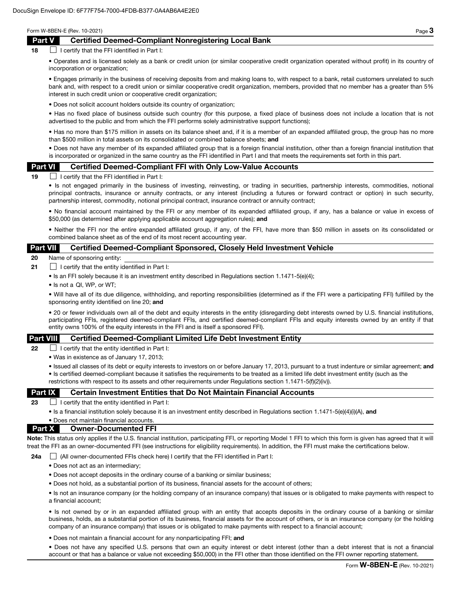## Part V Certified Deemed-Compliant Nonregistering Local Bank

 $18$  I certify that the FFI identified in Part I:

• Operates and is licensed solely as a bank or credit union (or similar cooperative credit organization operated without profit) in its country of incorporation or organization;

• Engages primarily in the business of receiving deposits from and making loans to, with respect to a bank, retail customers unrelated to such bank and, with respect to a credit union or similar cooperative credit organization, members, provided that no member has a greater than 5% interest in such credit union or cooperative credit organization;

• Does not solicit account holders outside its country of organization;

• Has no fixed place of business outside such country (for this purpose, a fixed place of business does not include a location that is not advertised to the public and from which the FFI performs solely administrative support functions);

• Has no more than \$175 million in assets on its balance sheet and, if it is a member of an expanded affiliated group, the group has no more than \$500 million in total assets on its consolidated or combined balance sheets; and

• Does not have any member of its expanded affiliated group that is a foreign financial institution, other than a foreign financial institution that is incorporated or organized in the same country as the FFI identified in Part I and that meets the requirements set forth in this part.

#### Part VI Certified Deemed-Compliant FFI with Only Low-Value Accounts

 $19$  I certify that the FFI identified in Part I:

• Is not engaged primarily in the business of investing, reinvesting, or trading in securities, partnership interests, commodities, notional principal contracts, insurance or annuity contracts, or any interest (including a futures or forward contract or option) in such security, partnership interest, commodity, notional principal contract, insurance contract or annuity contract;

• No financial account maintained by the FFI or any member of its expanded affiliated group, if any, has a balance or value in excess of \$50,000 (as determined after applying applicable account aggregation rules); and

• Neither the FFI nor the entire expanded affiliated group, if any, of the FFI, have more than \$50 million in assets on its consolidated or combined balance sheet as of the end of its most recent accounting year.

## Part VII Certified Deemed-Compliant Sponsored, Closely Held Investment Vehicle

20 Name of sponsoring entity:

- **21**  $\Box$  I certify that the entity identified in Part I:
	- Is an FFI solely because it is an investment entity described in Regulations section 1.1471-5(e)(4);
	- Is not a QI, WP, or WT;

• Will have all of its due diligence, withholding, and reporting responsibilities (determined as if the FFI were a participating FFI) fulfilled by the sponsoring entity identified on line 20; and

• 20 or fewer individuals own all of the debt and equity interests in the entity (disregarding debt interests owned by U.S. financial institutions, participating FFIs, registered deemed-compliant FFIs, and certified deemed-compliant FFIs and equity interests owned by an entity if that entity owns 100% of the equity interests in the FFI and is itself a sponsored FFI).

#### Part VIII Certified Deemed-Compliant Limited Life Debt Investment Entity

**22**  $\Box$  I certify that the entity identified in Part I:

• Was in existence as of January 17, 2013;

• Issued all classes of its debt or equity interests to investors on or before January 17, 2013, pursuant to a trust indenture or similar agreement; and • Is certified deemed-compliant because it satisfies the requirements to be treated as a limited life debt investment entity (such as the restrictions with respect to its assets and other requirements under Regulations section 1.1471-5(f)(2)(iv)).

#### **Part IX** Certain Investment Entities that Do Not Maintain Financial Accounts

23  $\Box$  I certify that the entity identified in Part I:

• Is a financial institution solely because it is an investment entity described in Regulations section 1.1471-5(e)(4)(i)(A), and

#### • Does not maintain financial accounts. Part X Owner-Documented FFI

Note: This status only applies if the U.S. financial institution, participating FFI, or reporting Model 1 FFI to which this form is given has agreed that it will treat the FFI as an owner-documented FFI (see instructions for eligibility requirements). In addition, the FFI must make the certifications below.

24a  $\Box$  (All owner-documented FFIs check here) I certify that the FFI identified in Part I:

- Does not act as an intermediary;
- Does not accept deposits in the ordinary course of a banking or similar business;
- Does not hold, as a substantial portion of its business, financial assets for the account of others;

• Is not an insurance company (or the holding company of an insurance company) that issues or is obligated to make payments with respect to a financial account;

• Is not owned by or in an expanded affiliated group with an entity that accepts deposits in the ordinary course of a banking or similar business, holds, as a substantial portion of its business, financial assets for the account of others, or is an insurance company (or the holding company of an insurance company) that issues or is obligated to make payments with respect to a financial account;

• Does not maintain a financial account for any nonparticipating FFI; and

• Does not have any specified U.S. persons that own an equity interest or debt interest (other than a debt interest that is not a financial account or that has a balance or value not exceeding \$50,000) in the FFI other than those identified on the FFI owner reporting statement.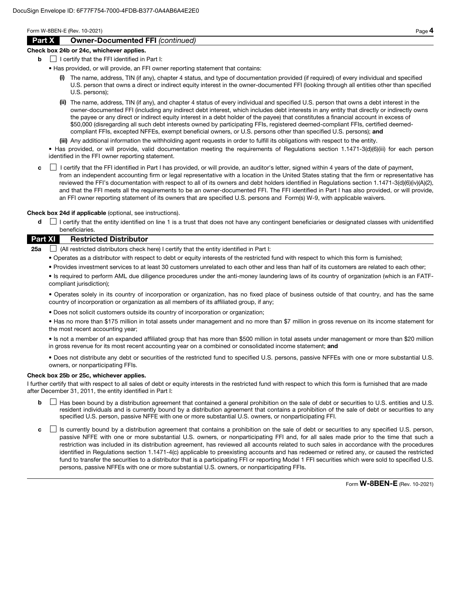## Part X Owner-Documented FFI *(continued)*

#### Check box 24b or 24c, whichever applies.

- $\mathbf{b}$  | I certify that the FFI identified in Part I:
	- Has provided, or will provide, an FFI owner reporting statement that contains:
		- (i) The name, address, TIN (if any), chapter 4 status, and type of documentation provided (if required) of every individual and specified U.S. person that owns a direct or indirect equity interest in the owner-documented FFI (looking through all entities other than specified U.S. persons);
		- (ii) The name, address, TIN (if any), and chapter 4 status of every individual and specified U.S. person that owns a debt interest in the owner-documented FFI (including any indirect debt interest, which includes debt interests in any entity that directly or indirectly owns the payee or any direct or indirect equity interest in a debt holder of the payee) that constitutes a financial account in excess of \$50,000 (disregarding all such debt interests owned by participating FFIs, registered deemed-compliant FFIs, certified deemedcompliant FFIs, excepted NFFEs, exempt beneficial owners, or U.S. persons other than specified U.S. persons); and
		- (iii) Any additional information the withholding agent requests in order to fulfill its obligations with respect to the entity.

• Has provided, or will provide, valid documentation meeting the requirements of Regulations section 1.1471-3(d)(6)(iii) for each person identified in the FFI owner reporting statement.

c **I** certify that the FFI identified in Part I has provided, or will provide, an auditor's letter, signed within 4 years of the date of payment, from an independent accounting firm or legal representative with a location in the United States stating that the firm or representative has reviewed the FFI's documentation with respect to all of its owners and debt holders identified in Regulations section 1.1471-3(d)(6)(iv)(A)(2), and that the FFI meets all the requirements to be an owner-documented FFI. The FFI identified in Part I has also provided, or will provide, an FFI owner reporting statement of its owners that are specified U.S. persons and Form(s) W-9, with applicable waivers.

Check box 24d if applicable (optional, see instructions).

d  $\Box$  I certify that the entity identified on line 1 is a trust that does not have any contingent beneficiaries or designated classes with unidentified beneficiaries.

## Part XI Restricted Distributor

**25a**  $\Box$  (All restricted distributors check here) I certify that the entity identified in Part I:

- Operates as a distributor with respect to debt or equity interests of the restricted fund with respect to which this form is furnished;
- Provides investment services to at least 30 customers unrelated to each other and less than half of its customers are related to each other;

• Is required to perform AML due diligence procedures under the anti-money laundering laws of its country of organization (which is an FATFcompliant jurisdiction);

• Operates solely in its country of incorporation or organization, has no fixed place of business outside of that country, and has the same country of incorporation or organization as all members of its affiliated group, if any;

• Does not solicit customers outside its country of incorporation or organization;

• Has no more than \$175 million in total assets under management and no more than \$7 million in gross revenue on its income statement for the most recent accounting year;

• Is not a member of an expanded affiliated group that has more than \$500 million in total assets under management or more than \$20 million in gross revenue for its most recent accounting year on a combined or consolidated income statement; and

• Does not distribute any debt or securities of the restricted fund to specified U.S. persons, passive NFFEs with one or more substantial U.S. owners, or nonparticipating FFIs.

#### Check box 25b or 25c, whichever applies.

I further certify that with respect to all sales of debt or equity interests in the restricted fund with respect to which this form is furnished that are made after December 31, 2011, the entity identified in Part I:

- **b**  $\Box$  Has been bound by a distribution agreement that contained a general prohibition on the sale of debt or securities to U.S. entities and U.S. resident individuals and is currently bound by a distribution agreement that contains a prohibition of the sale of debt or securities to any specified U.S. person, passive NFFE with one or more substantial U.S. owners, or nonparticipating FFI.
- c  $\Box$  Is currently bound by a distribution agreement that contains a prohibition on the sale of debt or securities to any specified U.S. person, passive NFFE with one or more substantial U.S. owners, or nonparticipating FFI and, for all sales made prior to the time that such a restriction was included in its distribution agreement, has reviewed all accounts related to such sales in accordance with the procedures identified in Regulations section 1.1471-4(c) applicable to preexisting accounts and has redeemed or retired any, or caused the restricted fund to transfer the securities to a distributor that is a participating FFI or reporting Model 1 FFI securities which were sold to specified U.S. persons, passive NFFEs with one or more substantial U.S. owners, or nonparticipating FFIs.

Form W-8BEN-E (Rev. 10-2021)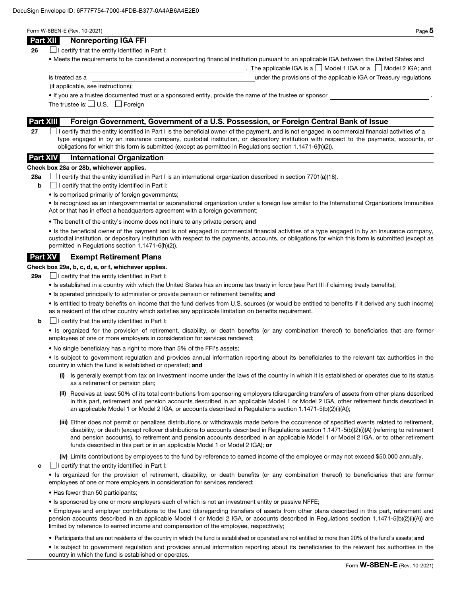| × |
|---|
| ۹ |

The applicable IGA is a  $\Box$  Model 1 IGA or a  $\Box$  Model 2 IGA; and

## Part XII Nonreporting IGA FFI

**26**  $\Box$  I certify that the entity identified in Part I:

• Meets the requirements to be considered a nonreporting financial institution pursuant to an applicable IGA between the United States and

is treated as a under the provisions of the applicable IGA or Treasury regulations

(if applicable, see instructions);

• If you are a trustee documented trust or a sponsored entity, provide the name of the trustee or sponsor .

The trustee is:  $\Box$  U.S.  $\Box$  Foreign

## Part XIII Foreign Government, Government of a U.S. Possession, or Foreign Central Bank of Issue

27 **I** certify that the entity identified in Part I is the beneficial owner of the payment, and is not engaged in commercial financial activities of a type engaged in by an insurance company, custodial institution, or depository institution with respect to the payments, accounts, or obligations for which this form is submitted (except as permitted in Regulations section 1.1471-6(h)(2)).

## Part XIV International Organization

#### Check box 28a or 28b, whichever applies.

28a  $\Box$  I certify that the entity identified in Part I is an international organization described in section 7701(a)(18).

- $\mathbf{b}$   $\Box$  I certify that the entity identified in Part I:
	- Is comprised primarily of foreign governments;

• Is recognized as an intergovernmental or supranational organization under a foreign law similar to the International Organizations Immunities Act or that has in effect a headquarters agreement with a foreign government;

• The benefit of the entity's income does not inure to any private person; and

• Is the beneficial owner of the payment and is not engaged in commercial financial activities of a type engaged in by an insurance company, custodial institution, or depository institution with respect to the payments, accounts, or obligations for which this form is submitted (except as permitted in Regulations section 1.1471-6(h)(2)).

## Part XV Exempt Retirement Plans

## Check box 29a, b, c, d, e, or f, whichever applies.

**29a**  $\Box$  I certify that the entity identified in Part I:

- Is established in a country with which the United States has an income tax treaty in force (see Part III if claiming treaty benefits);
- Is operated principally to administer or provide pension or retirement benefits; and

• Is entitled to treaty benefits on income that the fund derives from U.S. sources (or would be entitled to benefits if it derived any such income) as a resident of the other country which satisfies any applicable limitation on benefits requirement.

 $\mathbf{b}$   $\Box$  I certify that the entity identified in Part I:

• Is organized for the provision of retirement, disability, or death benefits (or any combination thereof) to beneficiaries that are former employees of one or more employers in consideration for services rendered;

• No single beneficiary has a right to more than 5% of the FFI's assets;

• Is subject to government regulation and provides annual information reporting about its beneficiaries to the relevant tax authorities in the country in which the fund is established or operated; and

- (i) Is generally exempt from tax on investment income under the laws of the country in which it is established or operates due to its status as a retirement or pension plan;
- (ii) Receives at least 50% of its total contributions from sponsoring employers (disregarding transfers of assets from other plans described in this part, retirement and pension accounts described in an applicable Model 1 or Model 2 IGA, other retirement funds described in an applicable Model 1 or Model 2 IGA, or accounts described in Regulations section 1.1471-5(b)(2)(i)(A));
- (iii) Either does not permit or penalizes distributions or withdrawals made before the occurrence of specified events related to retirement, disability, or death (except rollover distributions to accounts described in Regulations section 1.1471-5(b)(2)(i)(A) (referring to retirement and pension accounts), to retirement and pension accounts described in an applicable Model 1 or Model 2 IGA, or to other retirement funds described in this part or in an applicable Model 1 or Model 2 IGA); or

(iv) Limits contributions by employees to the fund by reference to earned income of the employee or may not exceed \$50,000 annually.

 $\mathbf{c}$   $\Box$  I certify that the entity identified in Part I:

• Is organized for the provision of retirement, disability, or death benefits (or any combination thereof) to beneficiaries that are former employees of one or more employers in consideration for services rendered;

- Has fewer than 50 participants;
- Is sponsored by one or more employers each of which is not an investment entity or passive NFFE;

• Employee and employer contributions to the fund (disregarding transfers of assets from other plans described in this part, retirement and pension accounts described in an applicable Model 1 or Model 2 IGA, or accounts described in Regulations section 1.1471-5(b)(2)(i)(A)) are limited by reference to earned income and compensation of the employee, respectively;

• Participants that are not residents of the country in which the fund is established or operated are not entitled to more than 20% of the fund's assets; and

• Is subject to government regulation and provides annual information reporting about its beneficiaries to the relevant tax authorities in the country in which the fund is established or operates.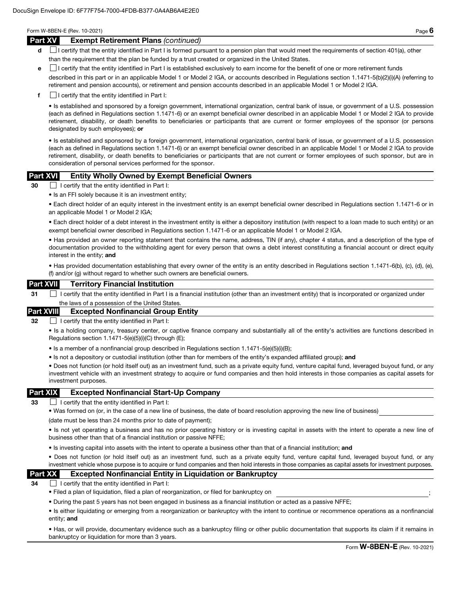#### Part XV Exempt Retirement Plans *(continued)*

- d **I** certify that the entity identified in Part I is formed pursuant to a pension plan that would meet the requirements of section 401(a), other than the requirement that the plan be funded by a trust created or organized in the United States.
- e I certify that the entity identified in Part I is established exclusively to earn income for the benefit of one or more retirement funds

described in this part or in an applicable Model 1 or Model 2 IGA, or accounts described in Regulations section 1.1471-5(b)(2)(i)(A) (referring to retirement and pension accounts), or retirement and pension accounts described in an applicable Model 1 or Model 2 IGA.

 $\mathbf{f}$  I certify that the entity identified in Part I:

• Is established and sponsored by a foreign government, international organization, central bank of issue, or government of a U.S. possession (each as defined in Regulations section 1.1471-6) or an exempt beneficial owner described in an applicable Model 1 or Model 2 IGA to provide retirement, disability, or death benefits to beneficiaries or participants that are current or former employees of the sponsor (or persons designated by such employees); or

• Is established and sponsored by a foreign government, international organization, central bank of issue, or government of a U.S. possession (each as defined in Regulations section 1.1471-6) or an exempt beneficial owner described in an applicable Model 1 or Model 2 IGA to provide retirement, disability, or death benefits to beneficiaries or participants that are not current or former employees of such sponsor, but are in consideration of personal services performed for the sponsor.

## Part XVI Entity Wholly Owned by Exempt Beneficial Owners

30 I certify that the entity identified in Part I:

• Is an FFI solely because it is an investment entity;

• Each direct holder of an equity interest in the investment entity is an exempt beneficial owner described in Regulations section 1.1471-6 or in an applicable Model 1 or Model 2 IGA;

• Each direct holder of a debt interest in the investment entity is either a depository institution (with respect to a loan made to such entity) or an exempt beneficial owner described in Regulations section 1.1471-6 or an applicable Model 1 or Model 2 IGA.

• Has provided an owner reporting statement that contains the name, address, TIN (if any), chapter 4 status, and a description of the type of documentation provided to the withholding agent for every person that owns a debt interest constituting a financial account or direct equity interest in the entity; and

• Has provided documentation establishing that every owner of the entity is an entity described in Regulations section 1.1471-6(b), (c), (d), (e), (f) and/or (g) without regard to whether such owners are beneficial owners.

#### Part XVII Territory Financial Institution

31 I certify that the entity identified in Part I is a financial institution (other than an investment entity) that is incorporated or organized under the laws of a possession of the United States

#### Part XVIII Excepted Nonfinancial Group Entity

32 **I certify that the entity identified in Part I:** 

• Is a holding company, treasury center, or captive finance company and substantially all of the entity's activities are functions described in Regulations section 1.1471-5(e)(5)(i)(C) through (E);

- Is a member of a nonfinancial group described in Regulations section 1.1471-5(e)(5)(i)(B);
- Is not a depository or custodial institution (other than for members of the entity's expanded affiliated group); and

• Does not function (or hold itself out) as an investment fund, such as a private equity fund, venture capital fund, leveraged buyout fund, or any investment vehicle with an investment strategy to acquire or fund companies and then hold interests in those companies as capital assets for investment purposes.

#### Part XIX Excepted Nonfinancial Start-Up Company

33  $\Box$  I certify that the entity identified in Part I:

• Was formed on (or, in the case of a new line of business, the date of board resolution approving the new line of business)

(date must be less than 24 months prior to date of payment);

• Is not yet operating a business and has no prior operating history or is investing capital in assets with the intent to operate a new line of business other than that of a financial institution or passive NFFE;

• Is investing capital into assets with the intent to operate a business other than that of a financial institution; and

• Does not function (or hold itself out) as an investment fund, such as a private equity fund, venture capital fund, leveraged buyout fund, or any investment vehicle whose purpose is to acquire or fund companies and then hold interests in those companies as capital assets for investment purposes.

## Part XX Excepted Nonfinancial Entity in Liquidation or Bankruptcy

 $34$   $\Box$  I certify that the entity identified in Part I:

- Filed a plan of liquidation, filed a plan of reorganization, or filed for bankruptcy on ;
- During the past 5 years has not been engaged in business as a financial institution or acted as a passive NFFE;

• Is either liquidating or emerging from a reorganization or bankruptcy with the intent to continue or recommence operations as a nonfinancial entity; and

• Has, or will provide, documentary evidence such as a bankruptcy filing or other public documentation that supports its claim if it remains in bankruptcy or liquidation for more than 3 years.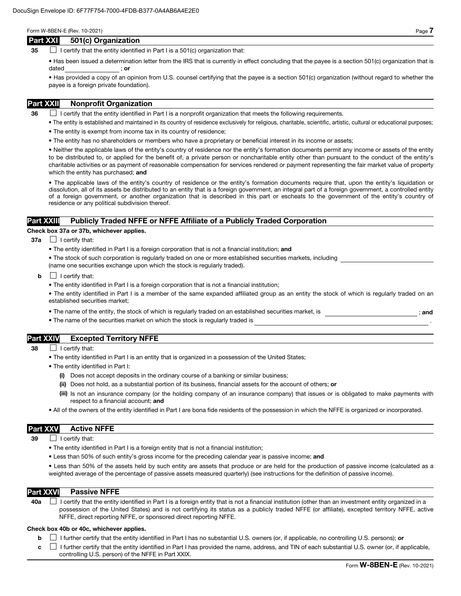#### Part XXI 501(c) Organization

35  $\Box$  I certify that the entity identified in Part I is a 501(c) organization that:

• Has been issued a determination letter from the IRS that is currently in effect concluding that the payee is a section 501(c) organization that is dated ; or

• Has provided a copy of an opinion from U.S. counsel certifying that the payee is a section 501(c) organization (without regard to whether the payee is a foreign private foundation).

## Part XXII Nonprofit Organization

 $36$  I certify that the entity identified in Part I is a nonprofit organization that meets the following requirements.

- The entity is established and maintained in its country of residence exclusively for religious, charitable, scientific, artistic, cultural or educational purposes;
- The entity is exempt from income tax in its country of residence;
- The entity has no shareholders or members who have a proprietary or beneficial interest in its income or assets;

• Neither the applicable laws of the entity's country of residence nor the entity's formation documents permit any income or assets of the entity to be distributed to, or applied for the benefit of, a private person or noncharitable entity other than pursuant to the conduct of the entity's charitable activities or as payment of reasonable compensation for services rendered or payment representing the fair market value of property which the entity has purchased; and

• The applicable laws of the entity's country of residence or the entity's formation documents require that, upon the entity's liquidation or dissolution, all of its assets be distributed to an entity that is a foreign government, an integral part of a foreign government, a controlled entity of a foreign government, or another organization that is described in this part or escheats to the government of the entity's country of residence or any political subdivision thereof.

## Part XXIII Publicly Traded NFFE or NFFE Affiliate of a Publicly Traded Corporation

#### Check box 37a or 37b, whichever applies.

- $37a$  | certify that:
	- The entity identified in Part I is a foreign corporation that is not a financial institution; and
	- The stock of such corporation is regularly traded on one or more established securities markets, including (name one securities exchange upon which the stock is regularly traded).
	- $\mathbf{b}$   $\Box$  I certify that:
		- The entity identified in Part I is a foreign corporation that is not a financial institution;
		- The entity identified in Part I is a member of the same expanded affiliated group as an entity the stock of which is regularly traded on an established securities market;
		- The name of the entity, the stock of which is regularly traded on an established securities market, is  $\cdot$  ; and
		- The name of the securities market on which the stock is regularly traded is

## Part XXIV Excepted Territory NFFE

- 38 **I** certify that:
	- The entity identified in Part I is an entity that is organized in a possession of the United States;
	- The entity identified in Part I:
		- (i) Does not accept deposits in the ordinary course of a banking or similar business;
		- (ii) Does not hold, as a substantial portion of its business, financial assets for the account of others; or
		- (iii) Is not an insurance company (or the holding company of an insurance company) that issues or is obligated to make payments with respect to a financial account; and
	- All of the owners of the entity identified in Part I are bona fide residents of the possession in which the NFFE is organized or incorporated.

#### Part XXV Active NFFE

 $39$  | I certify that:

- The entity identified in Part I is a foreign entity that is not a financial institution;
- Less than 50% of such entity's gross income for the preceding calendar year is passive income; and

• Less than 50% of the assets held by such entity are assets that produce or are held for the production of passive income (calculated as a weighted average of the percentage of passive assets measured quarterly) (see instructions for the definition of passive income).

#### Part XXVI Passive NFFE

40a  $\Box$  I certify that the entity identified in Part I is a foreign entity that is not a financial institution (other than an investment entity organized in a possession of the United States) and is not certifying its status as a publicly traded NFFE (or affiliate), excepted territory NFFE, active NFFE, direct reporting NFFE, or sponsored direct reporting NFFE.

#### Check box 40b or 40c, whichever applies.

**b**  $\Box$  I further certify that the entity identified in Part I has no substantial U.S. owners (or, if applicable, no controlling U.S. persons); or

 $c \perp$  I further certify that the entity identified in Part I has provided the name, address, and TIN of each substantial U.S. owner (or, if applicable, controlling U.S. person) of the NFFE in Part XXIX.